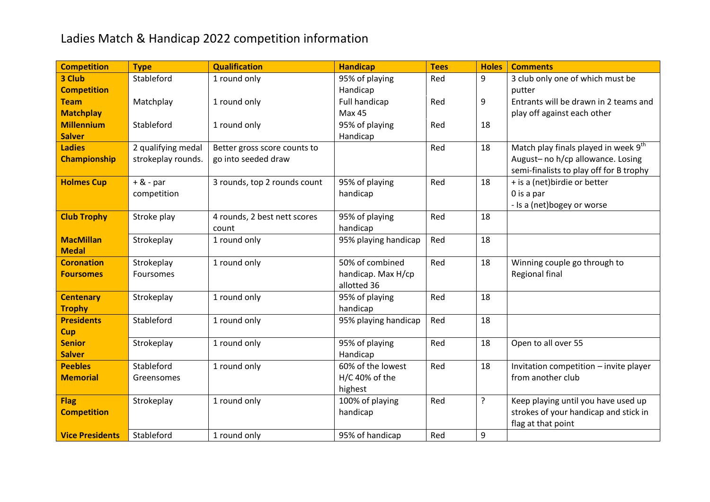## Ladies Match & Handicap 2022 competition information

| <b>Competition</b>     | <b>Type</b>        | <b>Qualification</b>         | <b>Handicap</b>      | <b>Tees</b> | <b>Holes</b> | <b>Comments</b>                         |
|------------------------|--------------------|------------------------------|----------------------|-------------|--------------|-----------------------------------------|
| 3 Club                 | Stableford         | 1 round only                 | 95% of playing       | Red         | 9            | 3 club only one of which must be        |
| <b>Competition</b>     |                    |                              | Handicap             |             |              | putter                                  |
| <b>Team</b>            | Matchplay          | 1 round only                 | Full handicap        | Red         | 9            | Entrants will be drawn in 2 teams and   |
| <b>Matchplay</b>       |                    |                              | <b>Max 45</b>        |             |              | play off against each other             |
| <b>Millennium</b>      | Stableford         | 1 round only                 | 95% of playing       | Red         | 18           |                                         |
| <b>Salver</b>          |                    |                              | Handicap             |             |              |                                         |
| <b>Ladies</b>          | 2 qualifying medal | Better gross score counts to |                      | Red         | 18           | Match play finals played in week 9th    |
| <b>Championship</b>    | strokeplay rounds. | go into seeded draw          |                      |             |              | August- no h/cp allowance. Losing       |
|                        |                    |                              |                      |             |              | semi-finalists to play off for B trophy |
| <b>Holmes Cup</b>      | $+$ & - par        | 3 rounds, top 2 rounds count | 95% of playing       | Red         | 18           | + is a (net)birdie or better            |
|                        | competition        |                              | handicap             |             |              | 0 is a par                              |
|                        |                    |                              |                      |             |              | - Is a (net)bogey or worse              |
| <b>Club Trophy</b>     | Stroke play        | 4 rounds, 2 best nett scores | 95% of playing       | Red         | 18           |                                         |
|                        |                    | count                        | handicap             |             |              |                                         |
| <b>MacMillan</b>       | Strokeplay         | 1 round only                 | 95% playing handicap | Red         | 18           |                                         |
| <b>Medal</b>           |                    |                              |                      |             |              |                                         |
| <b>Coronation</b>      | Strokeplay         | 1 round only                 | 50% of combined      | Red         | 18           | Winning couple go through to            |
| <b>Foursomes</b>       | Foursomes          |                              | handicap. Max H/cp   |             |              | Regional final                          |
|                        |                    |                              | allotted 36          |             |              |                                         |
| <b>Centenary</b>       | Strokeplay         | 1 round only                 | 95% of playing       | Red         | 18           |                                         |
| <b>Trophy</b>          |                    |                              | handicap             |             |              |                                         |
| <b>Presidents</b>      | Stableford         | 1 round only                 | 95% playing handicap | Red         | 18           |                                         |
| Cup                    |                    |                              |                      |             |              |                                         |
| <b>Senior</b>          | Strokeplay         | 1 round only                 | 95% of playing       | Red         | 18           | Open to all over 55                     |
| <b>Salver</b>          |                    |                              | Handicap             |             |              |                                         |
| <b>Peebles</b>         | Stableford         | 1 round only                 | 60% of the lowest    | Red         | 18           | Invitation competition - invite player  |
| <b>Memorial</b>        | Greensomes         |                              | $H/C$ 40% of the     |             |              | from another club                       |
|                        |                    |                              | highest              |             | $\tilde{?}$  |                                         |
| <b>Flag</b>            | Strokeplay         | 1 round only                 | 100% of playing      | Red         |              | Keep playing until you have used up     |
| <b>Competition</b>     |                    |                              | handicap             |             |              | strokes of your handicap and stick in   |
|                        | Stableford         |                              |                      |             |              | flag at that point                      |
| <b>Vice Presidents</b> |                    | 1 round only                 | 95% of handicap      | Red         | 9            |                                         |